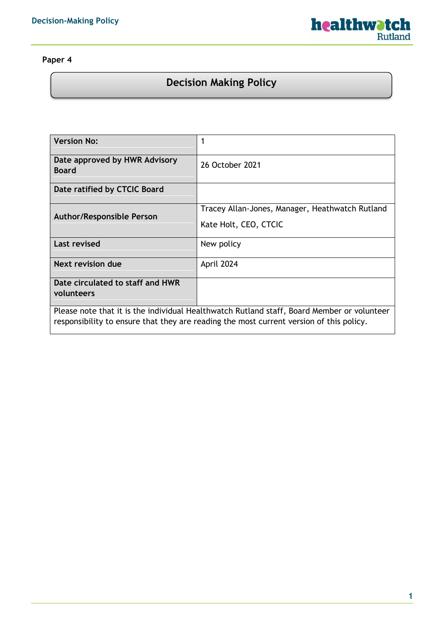

## **Paper 4**

# **Decision Making Policy**

| <b>Version No:</b>                                                                                                                                                                    |                                                                          |  |
|---------------------------------------------------------------------------------------------------------------------------------------------------------------------------------------|--------------------------------------------------------------------------|--|
| Date approved by HWR Advisory<br><b>Board</b>                                                                                                                                         | 26 October 2021                                                          |  |
| Date ratified by CTCIC Board                                                                                                                                                          |                                                                          |  |
| <b>Author/Responsible Person</b>                                                                                                                                                      | Tracey Allan-Jones, Manager, Heathwatch Rutland<br>Kate Holt, CEO, CTCIC |  |
| <b>Last revised</b>                                                                                                                                                                   | New policy                                                               |  |
| Next revision due                                                                                                                                                                     | April 2024                                                               |  |
| Date circulated to staff and HWR<br>volunteers                                                                                                                                        |                                                                          |  |
| Please note that it is the individual Healthwatch Rutland staff, Board Member or volunteer<br>responsibility to ensure that they are reading the most current version of this policy. |                                                                          |  |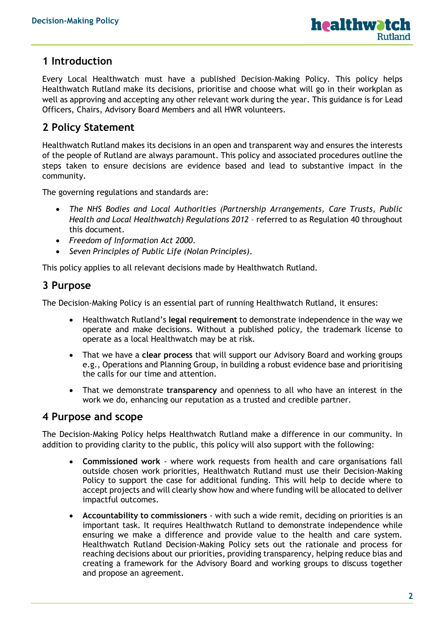### **1 Introduction**

Every Local Healthwatch must have a published Decision-Making Policy. This policy helps Healthwatch Rutland make its decisions, prioritise and choose what will go in their workplan as well as approving and accepting any other relevant work during the year. This guidance is for Lead Officers, Chairs, Advisory Board Members and all HWR volunteers.

# **2 Policy Statement**

Healthwatch Rutland makes its decisions in an open and transparent way and ensures the interests of the people of Rutland are always paramount. This policy and associated procedures outline the steps taken to ensure decisions are evidence based and lead to substantive impact in the community.

The governing regulations and standards are:

- *The NHS Bodies and Local Authorities (Partnership Arrangements, Care Trusts, Public Health and Local Healthwatch) Regulations 2012* – referred to as Regulation 40 throughout this document.
- *Freedom of Information Act 2000*.
- *Seven Principles of Public Life (Nolan Principles)*.

This policy applies to all relevant decisions made by Healthwatch Rutland.

### **3 Purpose**

The Decision-Making Policy is an essential part of running Healthwatch Rutland, it ensures:

- Healthwatch Rutland's **legal requirement** to demonstrate independence in the way we operate and make decisions. Without a published policy, the trademark license to operate as a local Healthwatch may be at risk.
- That we have a **clear process** that will support our Advisory Board and working groups e.g., Operations and Planning Group, in building a robust evidence base and prioritising the calls for our time and attention.
- That we demonstrate **transparency** and openness to all who have an interest in the work we do, enhancing our reputation as a trusted and credible partner.

#### **4 Purpose and scope**

The Decision-Making Policy helps Healthwatch Rutland make a difference in our community. In addition to providing clarity to the public, this policy will also support with the following:

- **Commissioned work** where work requests from health and care organisations fall outside chosen work priorities, Healthwatch Rutland must use their Decision-Making Policy to support the case for additional funding. This will help to decide where to accept projects and will clearly show how and where funding will be allocated to deliver impactful outcomes.
- **Accountability to commissioners**  with such a wide remit, deciding on priorities is an important task. It requires Healthwatch Rutland to demonstrate independence while ensuring we make a difference and provide value to the health and care system. Healthwatch Rutland Decision-Making Policy sets out the rationale and process for reaching decisions about our priorities, providing transparency, helping reduce bias and creating a framework for the Advisory Board and working groups to discuss together and propose an agreement.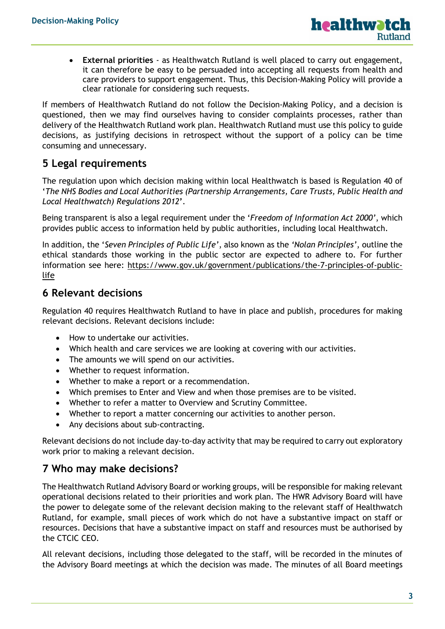• **External priorities** - as Healthwatch Rutland is well placed to carry out engagement, it can therefore be easy to be persuaded into accepting all requests from health and care providers to support engagement. Thus, this Decision-Making Policy will provide a clear rationale for considering such requests.

If members of Healthwatch Rutland do not follow the Decision-Making Policy, and a decision is questioned, then we may find ourselves having to consider complaints processes, rather than delivery of the Healthwatch Rutland work plan. Healthwatch Rutland must use this policy to guide decisions, as justifying decisions in retrospect without the support of a policy can be time consuming and unnecessary.

# **5 Legal requirements**

The regulation upon which decision making within local Healthwatch is based is Regulation 40 of '*The NHS Bodies and Local Authorities (Partnership Arrangements, Care Trusts, Public Health and Local Healthwatch) Regulations 2012***'**.

Being transparent is also a legal requirement under the '*Freedom of Information Act 2000'*, which provides public access to information held by public authorities, including local Healthwatch.

In addition, the '*Seven Principles of Public Life'*, also known as the *'Nolan Principles'*, outline the ethical standards those working in the public sector are expected to adhere to. For further information see here: [https://www.gov.uk/government/publications/the-7-principles-of-public](https://www.gov.uk/government/publications/the-7-principles-of-public-life)[life](https://www.gov.uk/government/publications/the-7-principles-of-public-life)

## **6 Relevant decisions**

Regulation 40 requires Healthwatch Rutland to have in place and publish, procedures for making relevant decisions. Relevant decisions include:

- How to undertake our activities.
- Which health and care services we are looking at covering with our activities.
- The amounts we will spend on our activities.
- Whether to request information.
- Whether to make a report or a recommendation.
- Which premises to Enter and View and when those premises are to be visited.
- Whether to refer a matter to Overview and Scrutiny Committee.
- Whether to report a matter concerning our activities to another person.
- Any decisions about sub-contracting.

Relevant decisions do not include day-to-day activity that may be required to carry out exploratory work prior to making a relevant decision.

### **7 Who may make decisions?**

The Healthwatch Rutland Advisory Board or working groups, will be responsible for making relevant operational decisions related to their priorities and work plan. The HWR Advisory Board will have the power to delegate some of the relevant decision making to the relevant staff of Healthwatch Rutland, for example, small pieces of work which do not have a substantive impact on staff or resources. Decisions that have a substantive impact on staff and resources must be authorised by the CTCIC CEO.

All relevant decisions, including those delegated to the staff, will be recorded in the minutes of the Advisory Board meetings at which the decision was made. The minutes of all Board meetings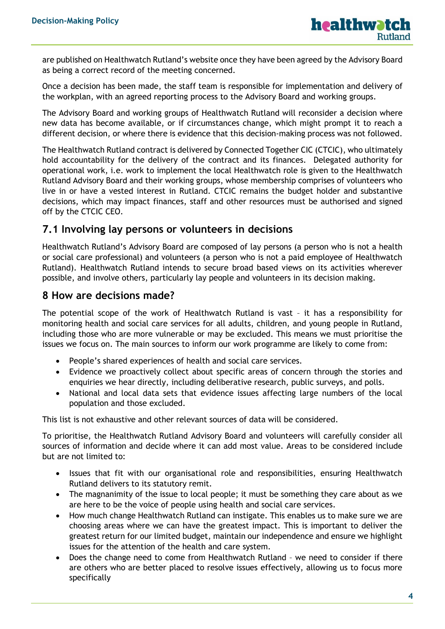are published on Healthwatch Rutland's website once they have been agreed by the Advisory Board as being a correct record of the meeting concerned.

Once a decision has been made, the staff team is responsible for implementation and delivery of the workplan, with an agreed reporting process to the Advisory Board and working groups.

The Advisory Board and working groups of Healthwatch Rutland will reconsider a decision where new data has become available, or if circumstances change, which might prompt it to reach a different decision, or where there is evidence that this decision-making process was not followed.

The Healthwatch Rutland contract is delivered by Connected Together CIC (CTCIC), who ultimately hold accountability for the delivery of the contract and its finances. Delegated authority for operational work, i.e. work to implement the local Healthwatch role is given to the Healthwatch Rutland Advisory Board and their working groups, whose membership comprises of volunteers who live in or have a vested interest in Rutland. CTCIC remains the budget holder and substantive decisions, which may impact finances, staff and other resources must be authorised and signed off by the CTCIC CEO.

#### **7.1 Involving lay persons or volunteers in decisions**

Healthwatch Rutland's Advisory Board are composed of lay persons (a person who is not a health or social care professional) and volunteers (a person who is not a paid employee of Healthwatch Rutland). Healthwatch Rutland intends to secure broad based views on its activities wherever possible, and involve others, particularly lay people and volunteers in its decision making.

#### **8 How are decisions made?**

The potential scope of the work of Healthwatch Rutland is vast – it has a responsibility for monitoring health and social care services for all adults, children, and young people in Rutland, including those who are more vulnerable or may be excluded. This means we must prioritise the issues we focus on. The main sources to inform our work programme are likely to come from:

- People's shared experiences of health and social care services.
- Evidence we proactively collect about specific areas of concern through the stories and enquiries we hear directly, including deliberative research, public surveys, and polls.
- National and local data sets that evidence issues affecting large numbers of the local population and those excluded.

This list is not exhaustive and other relevant sources of data will be considered.

To prioritise, the Healthwatch Rutland Advisory Board and volunteers will carefully consider all sources of information and decide where it can add most value. Areas to be considered include but are not limited to:

- Issues that fit with our organisational role and responsibilities, ensuring Healthwatch Rutland delivers to its statutory remit.
- The magnanimity of the issue to local people; it must be something they care about as we are here to be the voice of people using health and social care services.
- How much change Healthwatch Rutland can instigate. This enables us to make sure we are choosing areas where we can have the greatest impact. This is important to deliver the greatest return for our limited budget, maintain our independence and ensure we highlight issues for the attention of the health and care system.
- Does the change need to come from Healthwatch Rutland we need to consider if there are others who are better placed to resolve issues effectively, allowing us to focus more specifically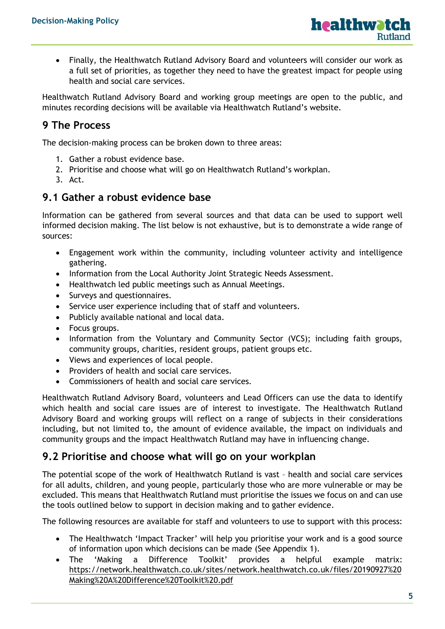

• Finally, the Healthwatch Rutland Advisory Board and volunteers will consider our work as a full set of priorities, as together they need to have the greatest impact for people using health and social care services.

Healthwatch Rutland Advisory Board and working group meetings are open to the public, and minutes recording decisions will be available via Healthwatch Rutland's website.

# **9 The Process**

The decision-making process can be broken down to three areas:

- 1. Gather a robust evidence base.
- 2. Prioritise and choose what will go on Healthwatch Rutland's workplan.
- 3. Act.

### **9.1 Gather a robust evidence base**

Information can be gathered from several sources and that data can be used to support well informed decision making. The list below is not exhaustive, but is to demonstrate a wide range of sources:

- Engagement work within the community, including volunteer activity and intelligence gathering.
- Information from the Local Authority Joint Strategic Needs Assessment.
- Healthwatch led public meetings such as Annual Meetings.
- Surveys and questionnaires.
- Service user experience including that of staff and volunteers.
- Publicly available national and local data.
- Focus groups.
- Information from the Voluntary and Community Sector (VCS); including faith groups, community groups, charities, resident groups, patient groups etc.
- Views and experiences of local people.
- Providers of health and social care services.
- Commissioners of health and social care services.

Healthwatch Rutland Advisory Board, volunteers and Lead Officers can use the data to identify which health and social care issues are of interest to investigate. The Healthwatch Rutland Advisory Board and working groups will reflect on a range of subjects in their considerations including, but not limited to, the amount of evidence available, the impact on individuals and community groups and the impact Healthwatch Rutland may have in influencing change.

## **9.2 Prioritise and choose what will go on your workplan**

The potential scope of the work of Healthwatch Rutland is vast – health and social care services for all adults, children, and young people, particularly those who are more vulnerable or may be excluded. This means that Healthwatch Rutland must prioritise the issues we focus on and can use the tools outlined below to support in decision making and to gather evidence.

The following resources are available for staff and volunteers to use to support with this process:

- The Healthwatch '[Impact Tracker](https://network.healthwatch.co.uk/guidance/2020-09-25/demonstrating-impact)' will help you prioritise your work and is a good source of information upon which decisions can be made (See Appendix 1).
- The '[Making a Difference Toolkit](https://network.healthwatch.co.uk/guidance/2019-09-30/making-difference-toolkit)' provides a helpful example matrix: [https://network.healthwatch.co.uk/sites/network.healthwatch.co.uk/files/20190927%20](https://network.healthwatch.co.uk/sites/network.healthwatch.co.uk/files/20190927%20Making%20A%20Difference%20Toolkit%20.pdf) [Making%20A%20Difference%20Toolkit%20.pdf](https://network.healthwatch.co.uk/sites/network.healthwatch.co.uk/files/20190927%20Making%20A%20Difference%20Toolkit%20.pdf)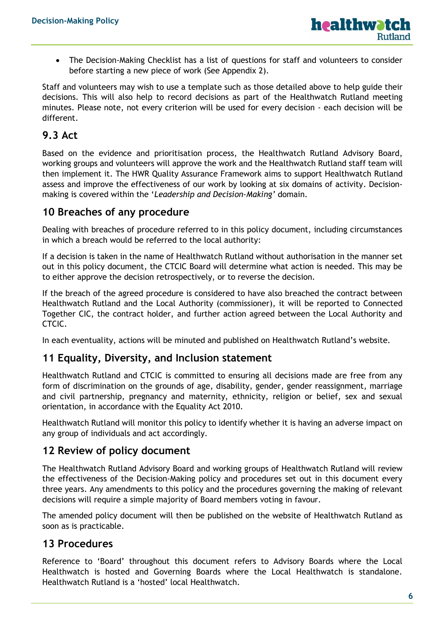• The Decision-Making Checklist has a list of questions for staff and volunteers to consider before starting a new piece of work (See Appendix 2).

Staff and volunteers may wish to use a template such as those detailed above to help guide their decisions. This will also help to record decisions as part of the Healthwatch Rutland meeting minutes. Please note, not every criterion will be used for every decision - each decision will be different.

## **9.3 Act**

Based on the evidence and prioritisation process, the Healthwatch Rutland Advisory Board, working groups and volunteers will approve the work and the Healthwatch Rutland staff team will then implement it. The HWR Quality Assurance Framework aims to support Healthwatch Rutland assess and improve the effectiveness of our work by looking at six domains of activity. Decisionmaking is covered within the '*Leadership and Decision-Making'* domain.

### **10 Breaches of any procedure**

Dealing with breaches of procedure referred to in this policy document, including circumstances in which a breach would be referred to the local authority:

If a decision is taken in the name of Healthwatch Rutland without authorisation in the manner set out in this policy document, the CTCIC Board will determine what action is needed. This may be to either approve the decision retrospectively, or to reverse the decision.

If the breach of the agreed procedure is considered to have also breached the contract between Healthwatch Rutland and the Local Authority (commissioner), it will be reported to Connected Together CIC, the contract holder, and further action agreed between the Local Authority and CTCIC.

In each eventuality, actions will be minuted and published on Healthwatch Rutland's website.

### **11 Equality, Diversity, and Inclusion statement**

Healthwatch Rutland and CTCIC is committed to ensuring all decisions made are free from any form of discrimination on the grounds of age, disability, gender, gender reassignment, marriage and civil partnership, pregnancy and maternity, ethnicity, religion or belief, sex and sexual orientation, in accordance with the Equality Act 2010.

Healthwatch Rutland will monitor this policy to identify whether it is having an adverse impact on any group of individuals and act accordingly.

### **12 Review of policy document**

The Healthwatch Rutland Advisory Board and working groups of Healthwatch Rutland will review the effectiveness of the Decision-Making policy and procedures set out in this document every three years. Any amendments to this policy and the procedures governing the making of relevant decisions will require a simple majority of Board members voting in favour.

The amended policy document will then be published on the website of Healthwatch Rutland as soon as is practicable.

### **13 Procedures**

Reference to 'Board' throughout this document refers to Advisory Boards where the Local Healthwatch is hosted and Governing Boards where the Local Healthwatch is standalone. Healthwatch Rutland is a 'hosted' local Healthwatch.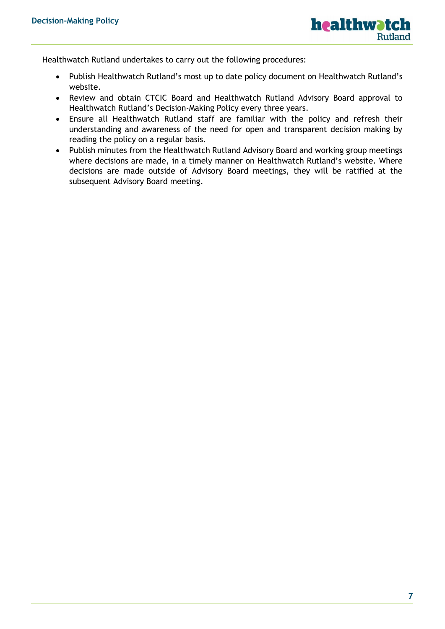

Healthwatch Rutland undertakes to carry out the following procedures:

- Publish Healthwatch Rutland's most up to date policy document on Healthwatch Rutland's website.
- Review and obtain CTCIC Board and Healthwatch Rutland Advisory Board approval to Healthwatch Rutland's Decision-Making Policy every three years.
- Ensure all Healthwatch Rutland staff are familiar with the policy and refresh their understanding and awareness of the need for open and transparent decision making by reading the policy on a regular basis.
- Publish minutes from the Healthwatch Rutland Advisory Board and working group meetings where decisions are made, in a timely manner on Healthwatch Rutland's website. Where decisions are made outside of Advisory Board meetings, they will be ratified at the subsequent Advisory Board meeting.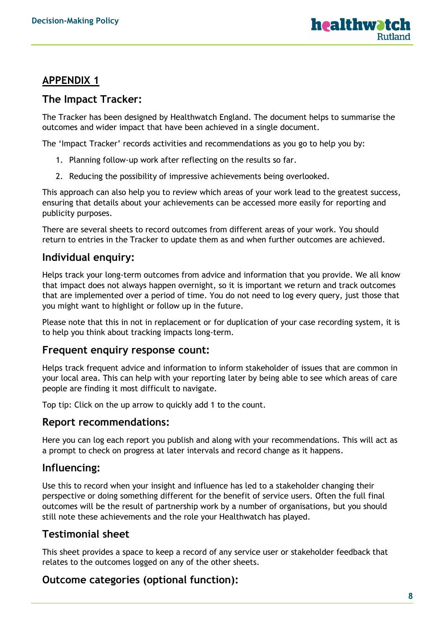

# **APPENDIX 1**

### **The Impact Tracker:**

The Tracker has been designed by Healthwatch England. The document helps to summarise the outcomes and wider impact that have been achieved in a single document.

The 'Impact Tracker' records activities and recommendations as you go to help you by:

- 1. Planning follow-up work after reflecting on the results so far.
- 2. Reducing the possibility of impressive achievements being overlooked.

This approach can also help you to review which areas of your work lead to the greatest success, ensuring that details about your achievements can be accessed more easily for reporting and publicity purposes.

There are several sheets to record outcomes from different areas of your work. You should return to entries in the Tracker to update them as and when further outcomes are achieved.

## **Individual enquiry:**

Helps track your long-term outcomes from advice and information that you provide. We all know that impact does not always happen overnight, so it is important we return and track outcomes that are implemented over a period of time. You do not need to log every query, just those that you might want to highlight or follow up in the future.

Please note that this in not in replacement or for duplication of your case recording system, it is to help you think about tracking impacts long-term.

#### **Frequent enquiry response count:**

Helps track frequent advice and information to inform stakeholder of issues that are common in your local area. This can help with your reporting later by being able to see which areas of care people are finding it most difficult to navigate.

Top tip: Click on the up arrow to quickly add 1 to the count.

#### **Report recommendations:**

Here you can log each report you publish and along with your recommendations. This will act as a prompt to check on progress at later intervals and record change as it happens.

## **Influencing:**

Use this to record when your insight and influence has led to a stakeholder changing their perspective or doing something different for the benefit of service users. Often the full final outcomes will be the result of partnership work by a number of organisations, but you should still note these achievements and the role your Healthwatch has played.

## **Testimonial sheet**

This sheet provides a space to keep a record of any service user or stakeholder feedback that relates to the outcomes logged on any of the other sheets.

## **Outcome categories (optional function):**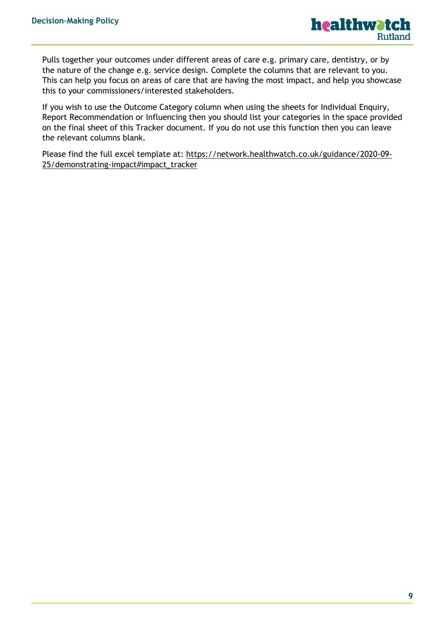Pulls together your outcomes under different areas of care e.g. primary care, dentistry, or by the nature of the change e.g. service design. Complete the columns that are relevant to you. This can help you focus on areas of care that are having the most impact, and help you showcase this to your commissioners/interested stakeholders.

If you wish to use the Outcome Category column when using the sheets for Individual Enquiry, Report Recommendation or Influencing then you should list your categories in the space provided on the final sheet of this Tracker document. If you do not use this function then you can leave the relevant columns blank.

Please find the full excel template at: [https://network.healthwatch.co.uk/guidance/2020-09-](https://network.healthwatch.co.uk/guidance/2020-09-25/demonstrating-impact#impact_tracker) [25/demonstrating-impact#impact\\_tracker](https://network.healthwatch.co.uk/guidance/2020-09-25/demonstrating-impact#impact_tracker)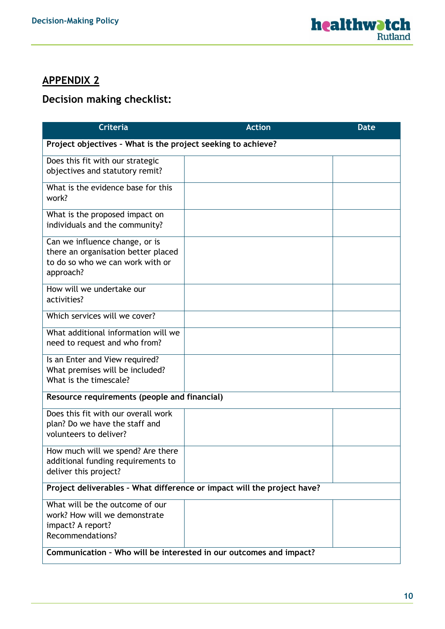# **APPENDIX 2**

# **Decision making checklist:**

| <b>Criteria</b>                                                                                                        | <b>Action</b> | <b>Date</b> |  |  |
|------------------------------------------------------------------------------------------------------------------------|---------------|-------------|--|--|
| Project objectives - What is the project seeking to achieve?                                                           |               |             |  |  |
| Does this fit with our strategic<br>objectives and statutory remit?                                                    |               |             |  |  |
| What is the evidence base for this<br>work?                                                                            |               |             |  |  |
| What is the proposed impact on<br>individuals and the community?                                                       |               |             |  |  |
| Can we influence change, or is<br>there an organisation better placed<br>to do so who we can work with or<br>approach? |               |             |  |  |
| How will we undertake our<br>activities?                                                                               |               |             |  |  |
| Which services will we cover?                                                                                          |               |             |  |  |
| What additional information will we<br>need to request and who from?                                                   |               |             |  |  |
| Is an Enter and View required?<br>What premises will be included?<br>What is the timescale?                            |               |             |  |  |
| Resource requirements (people and financial)                                                                           |               |             |  |  |
| Does this fit with our overall work<br>plan? Do we have the staff and<br>volunteers to deliver?                        |               |             |  |  |
| How much will we spend? Are there<br>additional funding requirements to<br>deliver this project?                       |               |             |  |  |
| Project deliverables - What difference or impact will the project have?                                                |               |             |  |  |
| What will be the outcome of our<br>work? How will we demonstrate<br>impact? A report?<br>Recommendations?              |               |             |  |  |
| Communication - Who will be interested in our outcomes and impact?                                                     |               |             |  |  |